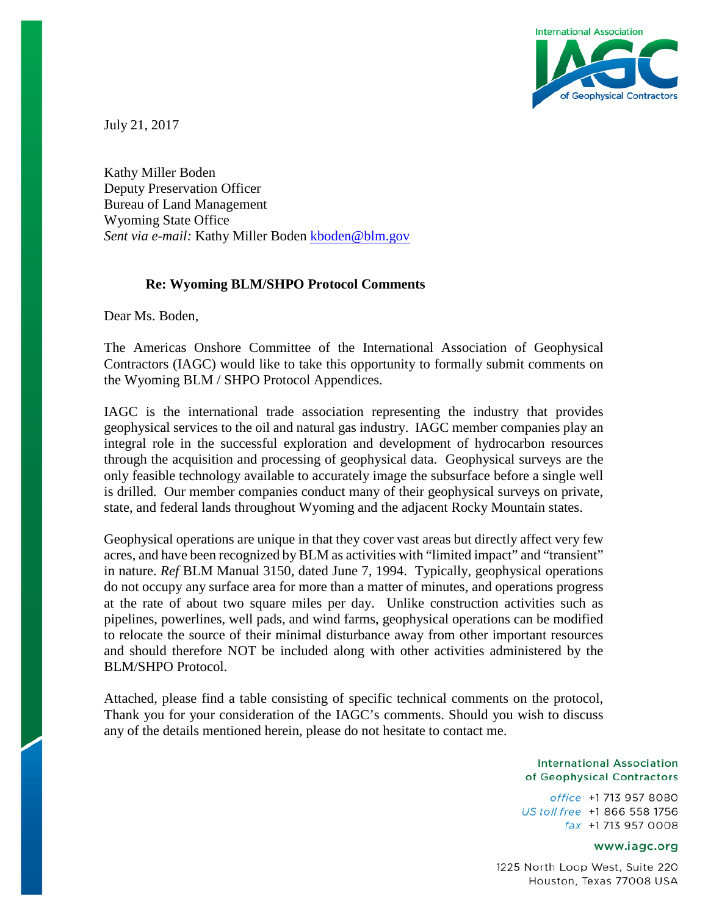

July 21, 2017

Kathy Miller Boden Deputy Preservation Officer Bureau of Land Management Wyoming State Office Sent via e-mail: Kathy Miller Boden [kboden@blm.gov](mailto:kboden@blm.gov)

## **Re: Wyoming BLM/SHPO Protocol Comments**

Dear Ms. Boden,

The Americas Onshore Committee of the International Association of Geophysical Contractors (IAGC) would like to take this opportunity to formally submit comments on the Wyoming BLM / SHPO Protocol Appendices.

IAGC is the international trade association representing the industry that provides geophysical services to the oil and natural gas industry. IAGC member companies play an integral role in the successful exploration and development of hydrocarbon resources through the acquisition and processing of geophysical data. Geophysical surveys are the only feasible technology available to accurately image the subsurface before a single well is drilled. Our member companies conduct many of their geophysical surveys on private, state, and federal lands throughout Wyoming and the adjacent Rocky Mountain states.

Geophysical operations are unique in that they cover vast areas but directly affect very few acres, and have been recognized by BLM as activities with "limited impact" and "transient" in nature. *Ref* BLM Manual 3150, dated June 7, 1994. Typically, geophysical operations do not occupy any surface area for more than a matter of minutes, and operations progress at the rate of about two square miles per day. Unlike construction activities such as pipelines, powerlines, well pads, and wind farms, geophysical operations can be modified to relocate the source of their minimal disturbance away from other important resources and should therefore NOT be included along with other activities administered by the BLM/SHPO Protocol.

Attached, please find a table consisting of specific technical comments on the protocol, Thank you for your consideration of the IAGC's comments. Should you wish to discuss any of the details mentioned herein, please do not hesitate to contact me.

## **International Association** of Geophysical Contractors

office +1 713 957 8080 US toll free +1 866 558 1756 fax +1713 957 0008

## www.iagc.org

1225 North Loop West, Suite 220 Houston, Texas 77008 USA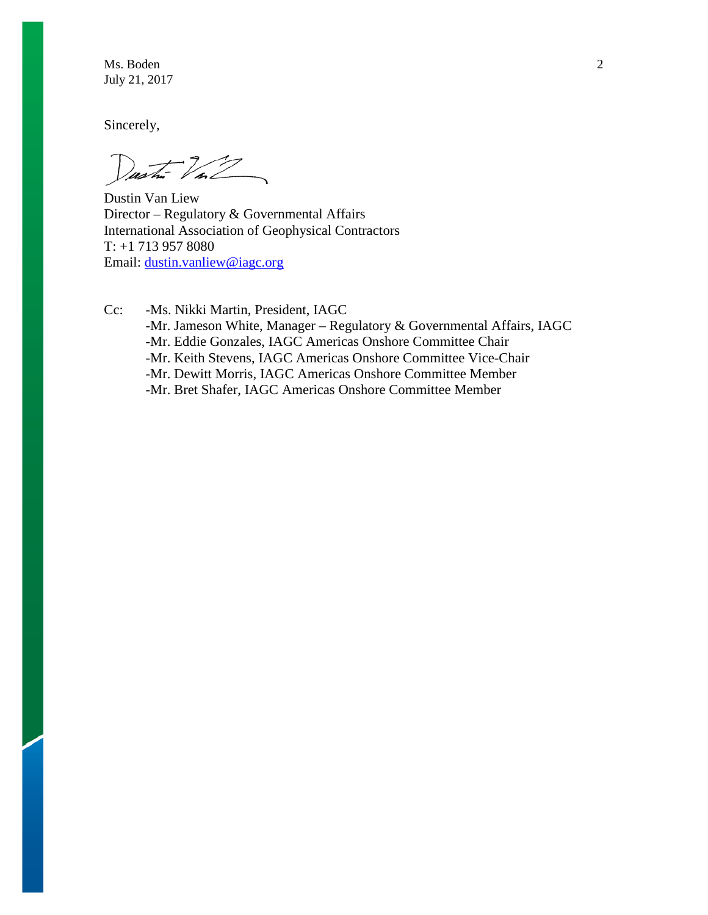Ms. Boden 2 July 21, 2017

Sincerely,

 $\omega$  to  $\omega$ 

Dustin Van Liew Director – Regulatory & Governmental Affairs International Association of Geophysical Contractors T: +1 713 957 8080 Email: [dustin.vanliew@iagc.org](mailto:dustin.vanliew@iagc.org)

Cc: -Ms. Nikki Martin, President, IAGC -Mr. Jameson White, Manager – Regulatory & Governmental Affairs, IAGC -Mr. Eddie Gonzales, IAGC Americas Onshore Committee Chair -Mr. Keith Stevens, IAGC Americas Onshore Committee Vice-Chair -Mr. Dewitt Morris, IAGC Americas Onshore Committee Member -Mr. Bret Shafer, IAGC Americas Onshore Committee Member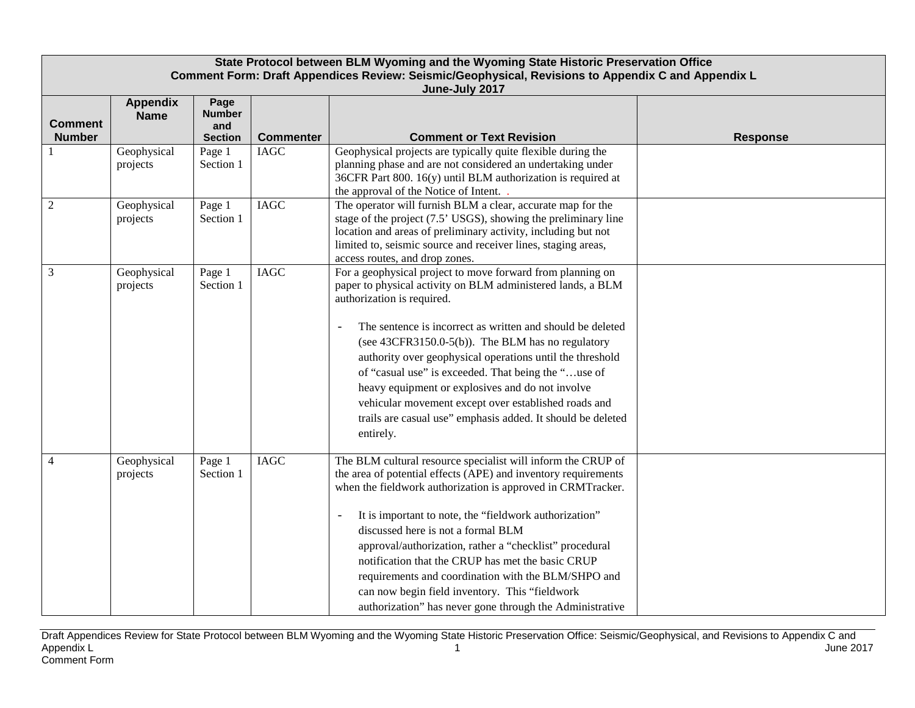| State Protocol between BLM Wyoming and the Wyoming State Historic Preservation Office<br>Comment Form: Draft Appendices Review: Seismic/Geophysical, Revisions to Appendix C and Appendix L<br>June-July 2017 |                                |                                                |                  |                                                                                                                                                                                                                                                                                                                                                                                                                                                                                                                                                                                        |                 |
|---------------------------------------------------------------------------------------------------------------------------------------------------------------------------------------------------------------|--------------------------------|------------------------------------------------|------------------|----------------------------------------------------------------------------------------------------------------------------------------------------------------------------------------------------------------------------------------------------------------------------------------------------------------------------------------------------------------------------------------------------------------------------------------------------------------------------------------------------------------------------------------------------------------------------------------|-----------------|
| <b>Comment</b><br><b>Number</b>                                                                                                                                                                               | <b>Appendix</b><br><b>Name</b> | Page<br><b>Number</b><br>and<br><b>Section</b> | <b>Commenter</b> | <b>Comment or Text Revision</b>                                                                                                                                                                                                                                                                                                                                                                                                                                                                                                                                                        | <b>Response</b> |
|                                                                                                                                                                                                               | Geophysical<br>projects        | Page 1<br>Section 1                            | <b>IAGC</b>      | Geophysical projects are typically quite flexible during the<br>planning phase and are not considered an undertaking under<br>36CFR Part 800. 16(y) until BLM authorization is required at<br>the approval of the Notice of Intent.                                                                                                                                                                                                                                                                                                                                                    |                 |
| $\overline{2}$                                                                                                                                                                                                | Geophysical<br>projects        | Page 1<br>Section 1                            | <b>IAGC</b>      | The operator will furnish BLM a clear, accurate map for the<br>stage of the project (7.5' USGS), showing the preliminary line<br>location and areas of preliminary activity, including but not<br>limited to, seismic source and receiver lines, staging areas,<br>access routes, and drop zones.                                                                                                                                                                                                                                                                                      |                 |
| $\overline{3}$                                                                                                                                                                                                | Geophysical<br>projects        | Page 1<br>Section 1                            | <b>IAGC</b>      | For a geophysical project to move forward from planning on<br>paper to physical activity on BLM administered lands, a BLM<br>authorization is required.<br>The sentence is incorrect as written and should be deleted<br>(see 43CFR3150.0-5(b)). The BLM has no regulatory<br>authority over geophysical operations until the threshold<br>of "casual use" is exceeded. That being the "use of<br>heavy equipment or explosives and do not involve<br>vehicular movement except over established roads and<br>trails are casual use" emphasis added. It should be deleted<br>entirely. |                 |
| $\overline{4}$                                                                                                                                                                                                | Geophysical<br>projects        | Page 1<br>Section 1                            | <b>IAGC</b>      | The BLM cultural resource specialist will inform the CRUP of<br>the area of potential effects (APE) and inventory requirements<br>when the fieldwork authorization is approved in CRMTracker.<br>It is important to note, the "fieldwork authorization"<br>discussed here is not a formal BLM<br>approval/authorization, rather a "checklist" procedural<br>notification that the CRUP has met the basic CRUP<br>requirements and coordination with the BLM/SHPO and<br>can now begin field inventory. This "fieldwork<br>authorization" has never gone through the Administrative     |                 |

Draft Appendices Review for State Protocol between BLM Wyoming and the Wyoming State Historic Preservation Office: Seismic/Geophysical, and Revisions to Appendix C and Appendix L $\,$  June 2017  $\,$ Comment Form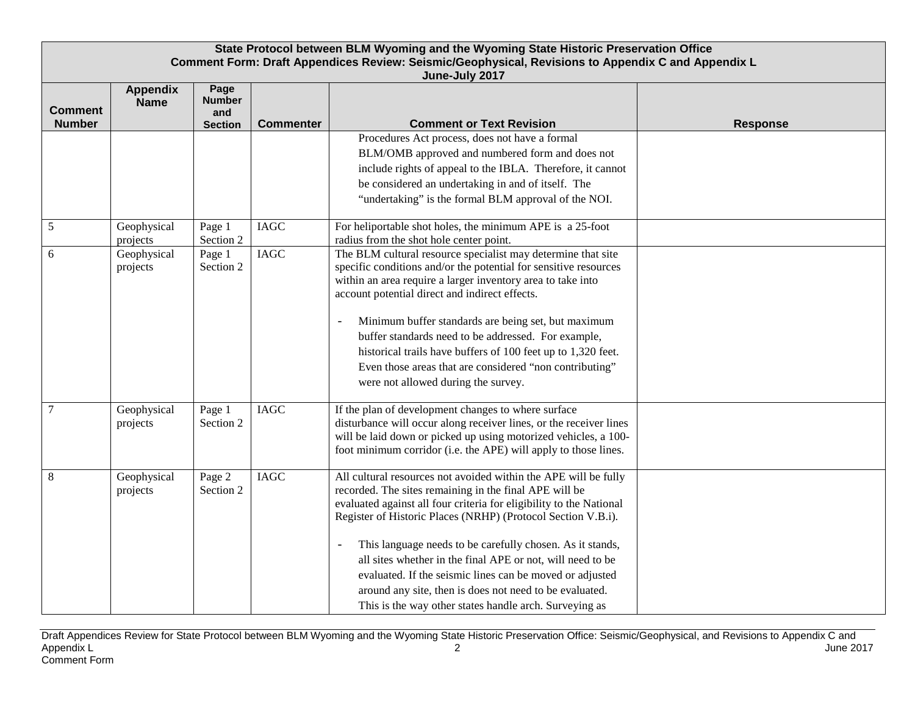| State Protocol between BLM Wyoming and the Wyoming State Historic Preservation Office<br>Comment Form: Draft Appendices Review: Seismic/Geophysical, Revisions to Appendix C and Appendix L<br>June-July 2017 |                                |                                                |                  |                                                                                                                                                                                                                                                                                                                                                                                                                                                                                                                                                                              |                 |
|---------------------------------------------------------------------------------------------------------------------------------------------------------------------------------------------------------------|--------------------------------|------------------------------------------------|------------------|------------------------------------------------------------------------------------------------------------------------------------------------------------------------------------------------------------------------------------------------------------------------------------------------------------------------------------------------------------------------------------------------------------------------------------------------------------------------------------------------------------------------------------------------------------------------------|-----------------|
| <b>Comment</b><br><b>Number</b>                                                                                                                                                                               | <b>Appendix</b><br><b>Name</b> | Page<br><b>Number</b><br>and<br><b>Section</b> | <b>Commenter</b> | <b>Comment or Text Revision</b>                                                                                                                                                                                                                                                                                                                                                                                                                                                                                                                                              | <b>Response</b> |
|                                                                                                                                                                                                               |                                |                                                |                  | Procedures Act process, does not have a formal<br>BLM/OMB approved and numbered form and does not<br>include rights of appeal to the IBLA. Therefore, it cannot<br>be considered an undertaking in and of itself. The<br>"undertaking" is the formal BLM approval of the NOI.                                                                                                                                                                                                                                                                                                |                 |
| $\sqrt{5}$                                                                                                                                                                                                    | Geophysical<br>projects        | Page 1<br>Section 2                            | <b>IAGC</b>      | For heliportable shot holes, the minimum APE is a 25-foot<br>radius from the shot hole center point.                                                                                                                                                                                                                                                                                                                                                                                                                                                                         |                 |
| 6                                                                                                                                                                                                             | Geophysical<br>projects        | Page 1<br>Section 2                            | <b>IAGC</b>      | The BLM cultural resource specialist may determine that site<br>specific conditions and/or the potential for sensitive resources<br>within an area require a larger inventory area to take into<br>account potential direct and indirect effects.<br>Minimum buffer standards are being set, but maximum<br>buffer standards need to be addressed. For example,<br>historical trails have buffers of 100 feet up to 1,320 feet.<br>Even those areas that are considered "non contributing"<br>were not allowed during the survey.                                            |                 |
| 7                                                                                                                                                                                                             | Geophysical<br>projects        | Page 1<br>Section 2                            | <b>IAGC</b>      | If the plan of development changes to where surface<br>disturbance will occur along receiver lines, or the receiver lines<br>will be laid down or picked up using motorized vehicles, a 100-<br>foot minimum corridor (i.e. the APE) will apply to those lines.                                                                                                                                                                                                                                                                                                              |                 |
| $\,8\,$                                                                                                                                                                                                       | Geophysical<br>projects        | Page 2<br>Section 2                            | <b>IAGC</b>      | All cultural resources not avoided within the APE will be fully<br>recorded. The sites remaining in the final APE will be<br>evaluated against all four criteria for eligibility to the National<br>Register of Historic Places (NRHP) (Protocol Section V.B.i).<br>This language needs to be carefully chosen. As it stands,<br>all sites whether in the final APE or not, will need to be<br>evaluated. If the seismic lines can be moved or adjusted<br>around any site, then is does not need to be evaluated.<br>This is the way other states handle arch. Surveying as |                 |

Draft Appendices Review for State Protocol between BLM Wyoming and the Wyoming State Historic Preservation Office: Seismic/Geophysical, and Revisions to Appendix C and Appendix L $\,$ Comment Form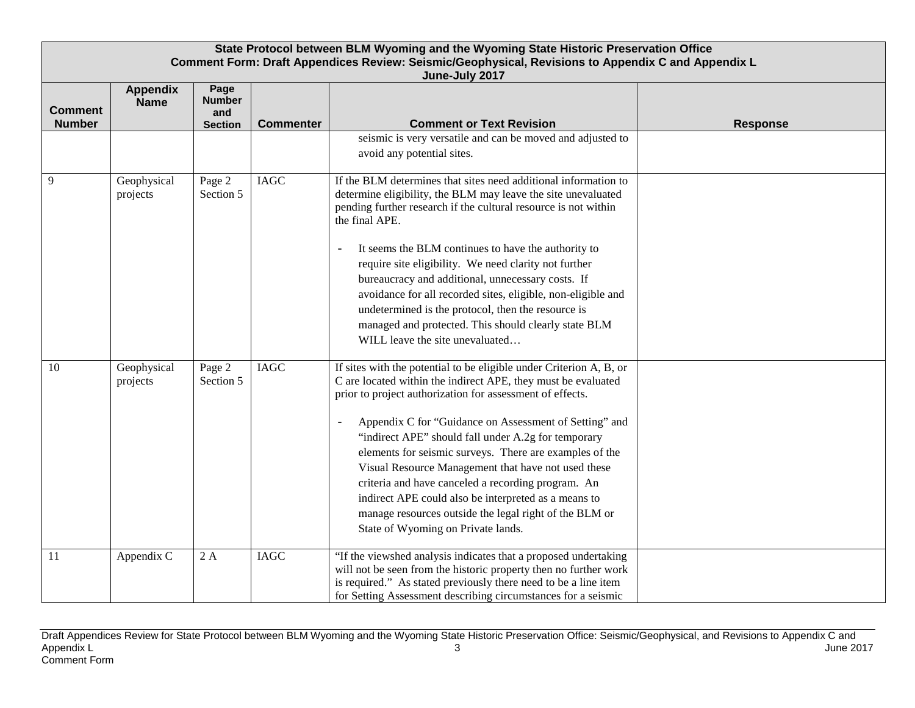| State Protocol between BLM Wyoming and the Wyoming State Historic Preservation Office<br>Comment Form: Draft Appendices Review: Seismic/Geophysical, Revisions to Appendix C and Appendix L<br>June-July 2017 |                                |                                                |                  |                                                                                                                                                                                                                                                                                                                                                                                                                                                                                                                                                                                                                                                                                |                 |
|---------------------------------------------------------------------------------------------------------------------------------------------------------------------------------------------------------------|--------------------------------|------------------------------------------------|------------------|--------------------------------------------------------------------------------------------------------------------------------------------------------------------------------------------------------------------------------------------------------------------------------------------------------------------------------------------------------------------------------------------------------------------------------------------------------------------------------------------------------------------------------------------------------------------------------------------------------------------------------------------------------------------------------|-----------------|
| <b>Comment</b><br><b>Number</b>                                                                                                                                                                               | <b>Appendix</b><br><b>Name</b> | Page<br><b>Number</b><br>and<br><b>Section</b> | <b>Commenter</b> | <b>Comment or Text Revision</b>                                                                                                                                                                                                                                                                                                                                                                                                                                                                                                                                                                                                                                                | <b>Response</b> |
|                                                                                                                                                                                                               |                                |                                                |                  | seismic is very versatile and can be moved and adjusted to<br>avoid any potential sites.                                                                                                                                                                                                                                                                                                                                                                                                                                                                                                                                                                                       |                 |
| 9                                                                                                                                                                                                             | Geophysical<br>projects        | Page 2<br>Section 5                            | <b>IAGC</b>      | If the BLM determines that sites need additional information to<br>determine eligibility, the BLM may leave the site unevaluated<br>pending further research if the cultural resource is not within<br>the final APE.                                                                                                                                                                                                                                                                                                                                                                                                                                                          |                 |
|                                                                                                                                                                                                               |                                |                                                |                  | It seems the BLM continues to have the authority to<br>require site eligibility. We need clarity not further<br>bureaucracy and additional, unnecessary costs. If<br>avoidance for all recorded sites, eligible, non-eligible and<br>undetermined is the protocol, then the resource is<br>managed and protected. This should clearly state BLM<br>WILL leave the site unevaluated                                                                                                                                                                                                                                                                                             |                 |
| 10                                                                                                                                                                                                            | Geophysical<br>projects        | Page 2<br>Section 5                            | <b>IAGC</b>      | If sites with the potential to be eligible under Criterion A, B, or<br>C are located within the indirect APE, they must be evaluated<br>prior to project authorization for assessment of effects.<br>Appendix C for "Guidance on Assessment of Setting" and<br>$\overline{\phantom{0}}$<br>"indirect APE" should fall under A.2g for temporary<br>elements for seismic surveys. There are examples of the<br>Visual Resource Management that have not used these<br>criteria and have canceled a recording program. An<br>indirect APE could also be interpreted as a means to<br>manage resources outside the legal right of the BLM or<br>State of Wyoming on Private lands. |                 |
| 11                                                                                                                                                                                                            | Appendix C                     | 2A                                             | <b>IAGC</b>      | "If the viewshed analysis indicates that a proposed undertaking<br>will not be seen from the historic property then no further work<br>is required." As stated previously there need to be a line item<br>for Setting Assessment describing circumstances for a seismic                                                                                                                                                                                                                                                                                                                                                                                                        |                 |

Draft Appendices Review for State Protocol between BLM Wyoming and the Wyoming State Historic Preservation Office: Seismic/Geophysical, and Revisions to Appendix C and Appendix L $\,$  June 2017  $\,$ Comment Form